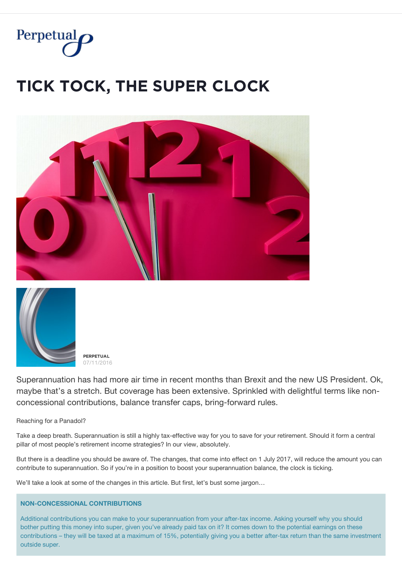

# **ȚİČĶ ȚǾČĶ, ȚĦĚ ȘŲPĚŘ ČĿǾČĶ**





**PERPETUAL** 07/11/2016

Superannuation has had more air time in recent months than Brexit and the new US President. Ok, maybe that's a stretch. But coverage has been extensive. Sprinkled with delightful terms like nonconcessional contributions, balance transfer caps, bring-forward rules.

Reaching for a Panadol?

Take a deep breath. Superannuation is still a highly tax-effective way for you to save for your retirement. Should it form a central pillar of most people's retirement income strategies? In our view, absolutely.

But there is a deadline you should be aware of. The changes, that come into effect on 1 July 2017, will reduce the amount you can contribute to superannuation. So if you're in a position to boost your superannuation balance, the clock is ticking.

We'll take a look at some of the changes in this article. But first, let's bust some jargon...

# **NON-CONCESSIONAL CONTRIBUTIONS**

Additional contributions you can make to your superannuation from your after-tax income. Asking yourself why you should bother putting this money into super, given you've already paid tax on it? It comes down to the potential earnings on these contributions – they will be taxed at a maximum of 15%, potentially giving you a better after-tax return than the same investment outside super.